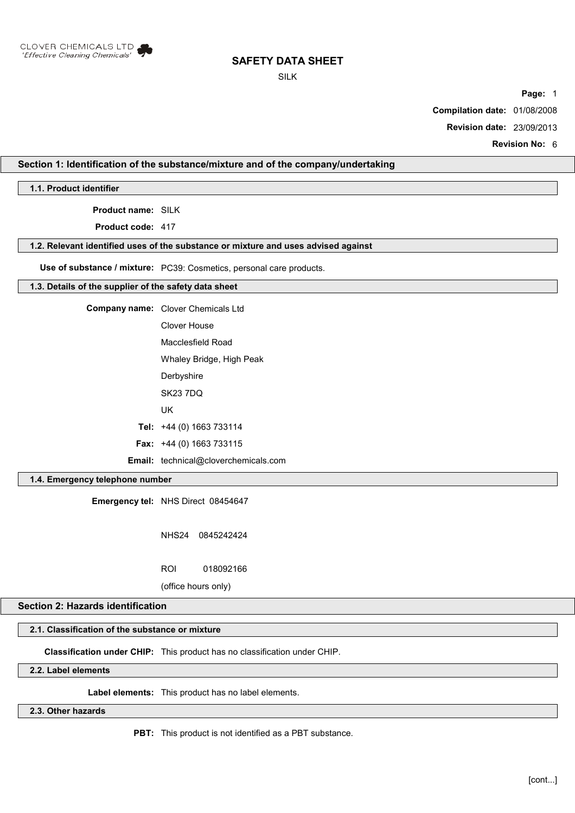

SILK

**Page:** 1

**Compilation date:** 01/08/2008

**Revision date:** 23/09/2013

**Revision No:** 6

## **Section 1: Identification of the substance/mixture and of the company/undertaking**

**1.1. Product identifier**

**Product name:** SILK

**Product code:** 417

#### **1.2. Relevant identified uses of the substance or mixture and uses advised against**

**Use of substance / mixture:** PC39: Cosmetics, personal care products.

#### **1.3. Details of the supplier of the safety data sheet**

**Company name:** Clover Chemicals Ltd Clover House Macclesfield Road

> Whaley Bridge, High Peak **Derbyshire**

SK23 7DQ

UK

**Tel:** +44 (0) 1663 733114

**Fax:** +44 (0) 1663 733115

**Email:** technical@cloverchemicals.com

## **1.4. Emergency telephone number**

**Emergency tel:** NHS Direct 08454647

NHS24 0845242424

ROI 018092166

(office hours only)

# **Section 2: Hazards identification**

# **2.1. Classification of the substance or mixture**

**Classification under CHIP:** This product has no classification under CHIP.

# **2.2. Label elements**

**Label elements:** This product has no label elements.

**2.3. Other hazards**

**PBT:** This product is not identified as a PBT substance.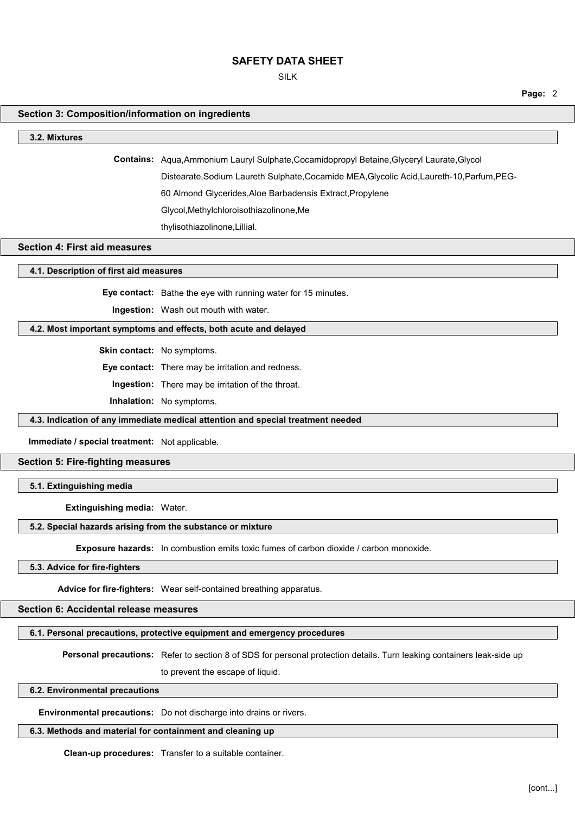SILK

**Page:** 2

## **Section 3: Composition/information on ingredients**

#### **3.2. Mixtures**

**Contains:** Aqua,Ammonium Lauryl Sulphate,Cocamidopropyl Betaine,Glyceryl Laurate,Glycol Distearate,Sodium Laureth Sulphate,Cocamide MEA,Glycolic Acid,Laureth-10,Parfum,PEG-

60 Almond Glycerides,Aloe Barbadensis Extract,Propylene

Glycol,Methylchloroisothiazolinone,Me

thylisothiazolinone,Lillial.

### **Section 4: First aid measures**

**4.1. Description of first aid measures**

**Eye contact:** Bathe the eye with running water for 15 minutes.

**Ingestion:** Wash out mouth with water.

### **4.2. Most important symptoms and effects, both acute and delayed**

**Skin contact:** No symptoms.

**Eye contact:** There may be irritation and redness.

**Ingestion:** There may be irritation of the throat.

**Inhalation:** No symptoms.

#### **4.3. Indication of any immediate medical attention and special treatment needed**

**Immediate / special treatment:** Not applicable.

## **Section 5: Fire-fighting measures**

### **5.1. Extinguishing media**

**Extinguishing media:** Water.

## **5.2. Special hazards arising from the substance or mixture**

**Exposure hazards:** In combustion emits toxic fumes of carbon dioxide / carbon monoxide.

## **5.3. Advice for fire-fighters**

**Advice for fire-fighters:** Wear self-contained breathing apparatus.

## **Section 6: Accidental release measures**

#### **6.1. Personal precautions, protective equipment and emergency procedures**

**Personal precautions:** Refer to section 8 of SDS for personal protection details. Turn leaking containers leak-side up to prevent the escape of liquid.

#### **6.2. Environmental precautions**

**Environmental precautions:** Do not discharge into drains or rivers.

## **6.3. Methods and material for containment and cleaning up**

**Clean-up procedures:** Transfer to a suitable container.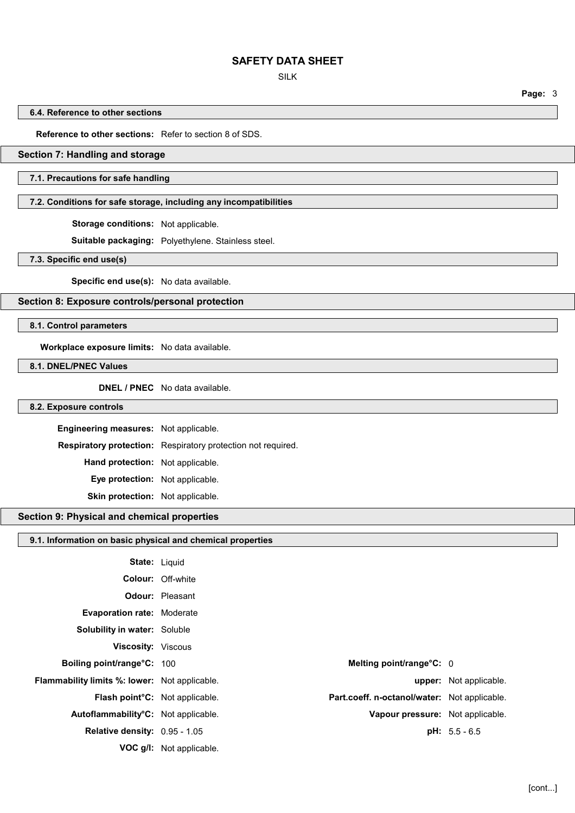SILK

**Page:** 3

**6.4. Reference to other sections**

**Reference to other sections:** Refer to section 8 of SDS.

### **Section 7: Handling and storage**

### **7.1. Precautions for safe handling**

## **7.2. Conditions for safe storage, including any incompatibilities**

**Storage conditions:** Not applicable.

**Suitable packaging:** Polyethylene. Stainless steel.

**7.3. Specific end use(s)**

**Specific end use(s):** No data available.

## **Section 8: Exposure controls/personal protection**

**8.1. Control parameters**

**Workplace exposure limits:** No data available.

**8.1. DNEL/PNEC Values**

**DNEL / PNEC** No data available.

#### **8.2. Exposure controls**

**Engineering measures:** Not applicable. **Respiratory protection:** Respiratory protection not required. **Hand protection:** Not applicable. **Eye protection:** Not applicable. **Skin protection:** Not applicable.

#### **Section 9: Physical and chemical properties**

| Section 9: Physical and chemical properties                |                                 |                                              |                        |
|------------------------------------------------------------|---------------------------------|----------------------------------------------|------------------------|
| 9.1. Information on basic physical and chemical properties |                                 |                                              |                        |
| <b>State: Liquid</b>                                       |                                 |                                              |                        |
|                                                            | <b>Colour: Off-white</b>        |                                              |                        |
|                                                            | <b>Odour:</b> Pleasant          |                                              |                        |
| <b>Evaporation rate: Moderate</b>                          |                                 |                                              |                        |
| Solubility in water: Soluble                               |                                 |                                              |                        |
| <b>Viscosity: Viscous</b>                                  |                                 |                                              |                        |
| Boiling point/range°C: 100                                 |                                 | Melting point/range°C: 0                     |                        |
| Flammability limits %: lower: Not applicable.              |                                 |                                              | upper: Not applicable. |
| Flash point°C: Not applicable.                             |                                 | Part.coeff. n-octanol/water: Not applicable. |                        |
| Autoflammability°C: Not applicable.                        |                                 | Vapour pressure: Not applicable.             |                        |
| <b>Relative density: 0.95 - 1.05</b>                       |                                 |                                              | $pH: 5.5 - 6.5$        |
|                                                            | <b>VOC g/l:</b> Not applicable. |                                              |                        |
|                                                            |                                 |                                              |                        |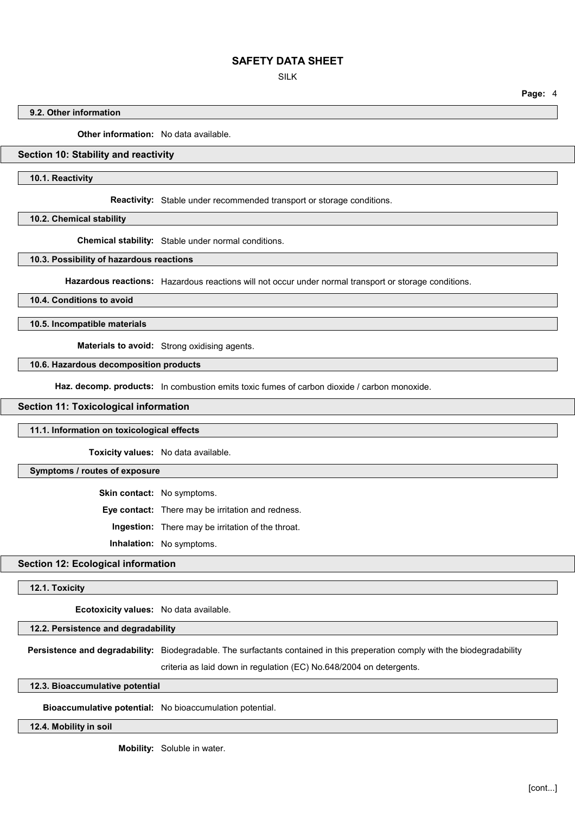SILK

**Page:** 4

### **9.2. Other information**

**Other information:** No data available.

## **Section 10: Stability and reactivity**

**10.1. Reactivity**

**Reactivity:** Stable under recommended transport or storage conditions.

**10.2. Chemical stability**

**Chemical stability:** Stable under normal conditions.

**10.3. Possibility of hazardous reactions**

**Hazardous reactions:** Hazardous reactions will not occur under normal transport or storage conditions.

**10.4. Conditions to avoid**

**10.5. Incompatible materials**

**Materials to avoid:** Strong oxidising agents.

**10.6. Hazardous decomposition products**

Haz. decomp. products: In combustion emits toxic fumes of carbon dioxide / carbon monoxide.

#### **Section 11: Toxicological information**

#### **11.1. Information on toxicological effects**

**Toxicity values:** No data available.

#### **Symptoms / routes of exposure**

**Skin contact:** No symptoms.

**Eye contact:** There may be irritation and redness.

**Ingestion:** There may be irritation of the throat.

**Inhalation:** No symptoms.

## **Section 12: Ecological information**

#### **12.1. Toxicity**

**Ecotoxicity values:** No data available.

**12.2. Persistence and degradability**

**Persistence and degradability:** Biodegradable. The surfactants contained in this preperation comply with the biodegradability

criteria as laid down in regulation (EC) No.648/2004 on detergents.

**12.3. Bioaccumulative potential**

**Bioaccumulative potential:** No bioaccumulation potential.

**12.4. Mobility in soil**

**Mobility:** Soluble in water.